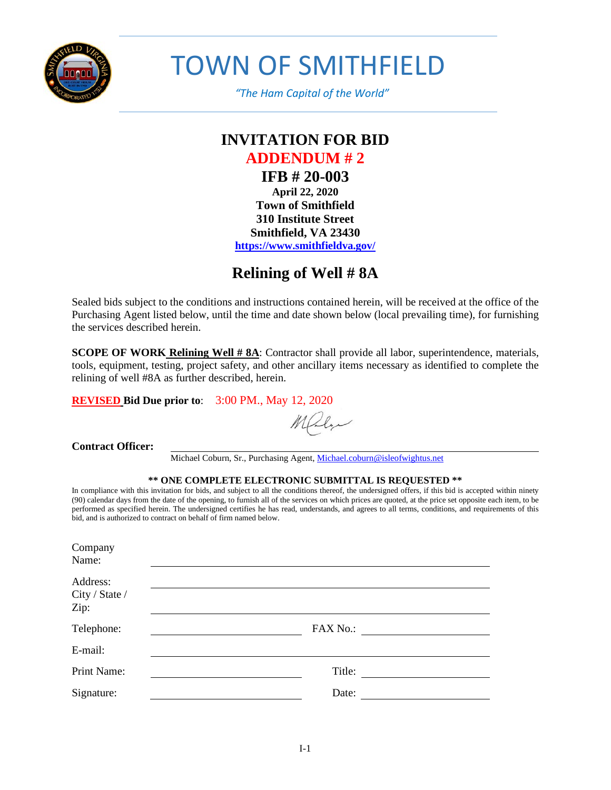

TOWN OF SMITHFIELD

 *"The Ham Capital of the World"*

## **INVITATION FOR BID ADDENDUM # 2 IFB # 20-003 April 22, 2020 Town of Smithfield 310 Institute Street Smithfield, VA 23430 <https://www.smithfieldva.gov/>**

# **Relining of Well # 8A**

Sealed bids subject to the conditions and instructions contained herein, will be received at the office of the Purchasing Agent listed below, until the time and date shown below (local prevailing time), for furnishing the services described herein.

**SCOPE OF WORK Relining Well # 8A:** Contractor shall provide all labor, superintendence, materials, tools, equipment, testing, project safety, and other ancillary items necessary as identified to complete the relining of well #8A as further described, herein.

**REVISED Bid Due prior to**: 3:00 PM., May 12, 2020

Maly

### **Contract Officer:**

Michael Coburn, Sr., Purchasing Agent[, Michael.coburn@isleofwightus.net](mailto:Michael.coburn@isleofwightus.net)

#### **\*\* ONE COMPLETE ELECTRONIC SUBMITTAL IS REQUESTED \*\***

In compliance with this invitation for bids, and subject to all the conditions thereof, the undersigned offers, if this bid is accepted within ninety (90) calendar days from the date of the opening, to furnish all of the services on which prices are quoted, at the price set opposite each item, to be performed as specified herein. The undersigned certifies he has read, understands, and agrees to all terms, conditions, and requirements of this bid, and is authorized to contract on behalf of firm named below.

| Company<br>Name:                   |          |
|------------------------------------|----------|
| Address:<br>City / State /<br>Zip: |          |
| Telephone:                         | FAX No.: |
| E-mail:                            |          |
| Print Name:                        | Title:   |
| Signature:                         | Date:    |